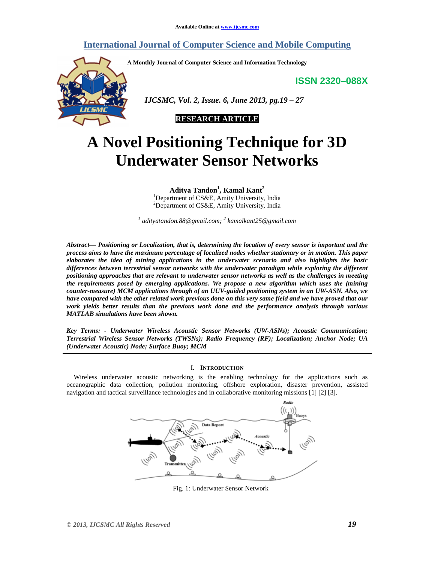# **International Journal of Computer Science and Mobile Computing**

**A Monthly Journal of Computer Science and Information Technology** 

**ISSN 2320–088X**



 *IJCSMC, Vol. 2, Issue. 6, June 2013, pg.19 – 27* 



# **A Novel Positioning Technique for 3D Underwater Sensor Networks**

**Aditya Tandon<sup>1</sup> , Kamal Kant<sup>2</sup>**

<sup>1</sup>Department of CS&E, Amity University, India <sup>2</sup>Department of CS&E, Amity University, India

<sup>1</sup> adityatandon.88@gmail.com; <sup>2</sup> kamalkant25@gmail.com

*Abstract— Positioning or Localization, that is, determining the location of every sensor is important and the process aims to have the maximum percentage of localized nodes whether stationary or in motion. This paper elaborates the idea of mining applications in the underwater scenario and also highlights the basic differences between terrestrial sensor networks with the underwater paradigm while exploring the different positioning approaches that are relevant to underwater sensor networks as well as the challenges in meeting the requirements posed by emerging applications. We propose a new algorithm which uses the (mining counter-measure) MCM applications through of an UUV-guided positioning system in an UW-ASN. Also, we have compared with the other related work previous done on this very same field and we have proved that our work yields better results than the previous work done and the performance analysis through various MATLAB simulations have been shown.* 

*Key Terms: - Underwater Wireless Acoustic Sensor Networks (UW-ASNs); Acoustic Communication; Terrestrial Wireless Sensor Networks (TWSNs); Radio Frequency (RF); Localization; Anchor Node; UA (Underwater Acoustic) Node; Surface Buoy; MCM* 

### I. **INTRODUCTION**

Wireless underwater acoustic networking is the enabling technology for the applications such as oceanographic data collection, pollution monitoring, offshore exploration, disaster prevention, assisted navigation and tactical surveillance technologies and in collaborative monitoring missions [1] [2] [3].



Fig. 1: Underwater Sensor Network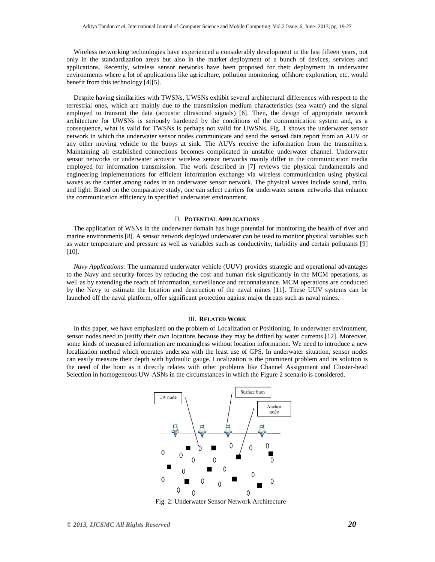Wireless networking technologies have experienced a considerably development in the last fifteen years, not only in the standardization areas but also in the market deployment of a bunch of devices, services and applications. Recently, wireless sensor networks have been proposed for their deployment in underwater environments where a lot of applications like agriculture, pollution monitoring, offshore exploration, etc. would benefit from this technology [4][5].

Despite having similarities with TWSNs, UWSNs exhibit several architectural differences with respect to the terrestrial ones, which are mainly due to the transmission medium characteristics (sea water) and the signal employed to transmit the data (acoustic ultrasound signals) [6]. Then, the design of appropriate network architecture for UWSNs is seriously hardened by the conditions of the communication system and, as a consequence, what is valid for TWSNs is perhaps not valid for UWSNs. Fig. 1 shows the underwater sensor network in which the underwater sensor nodes communicate and send the sensed data report from an AUV or any other moving vehicle to the buoys at sink. The AUVs receive the information from the transmitters. Maintaining all established connections becomes complicated in unstable underwater channel. Underwater sensor networks or underwater acoustic wireless sensor networks mainly differ in the communication media employed for information transmission. The work described in [7] reviews the physical fundamentals and engineering implementations for efficient information exchange via wireless communication using physical waves as the carrier among nodes in an underwater sensor network. The physical waves include sound, radio, and light. Based on the comparative study, one can select carriers for underwater sensor networks that enhance the communication efficiency in specified underwater environment.

#### II. **POTENTIAL APPLICATIONS**

The application of WSNs in the underwater domain has huge potential for monitoring the health of river and marine environments [8]. A sensor network deployed underwater can be used to monitor physical variables such as water temperature and pressure as well as variables such as conductivity, turbidity and certain pollutants [9] [10].

*Navy Applications:* The unmanned underwater vehicle (UUV) provides strategic and operational advantages to the Navy and security forces by reducing the cost and human risk significantly in the MCM operations, as well as by extending the reach of information, surveillance and reconnaissance. MCM operations are conducted by the Navy to estimate the location and destruction of the naval mines [11]. These UUV systems can be launched off the naval platform, offer significant protection against major threats such as naval mines.

#### III. **RELATED WORK**

In this paper, we have emphasized on the problem of Localization or Positioning. In underwater environment, sensor nodes need to justify their own locations because they may be drifted by water currents [12]. Moreover, some kinds of measured information are meaningless without location information. We need to introduce a new localization method which operates undersea with the least use of GPS. In underwater situation, sensor nodes can easily measure their depth with hydraulic gauge. Localization is the prominent problem and its solution is the need of the hour as it directly relates with other problems like Channel Assignment and Cluster-head Selection in homogeneous UW-ASNs in the circumstances in which the Figure 2 scenario is considered.



Fig. 2: Underwater Sensor Network Architecture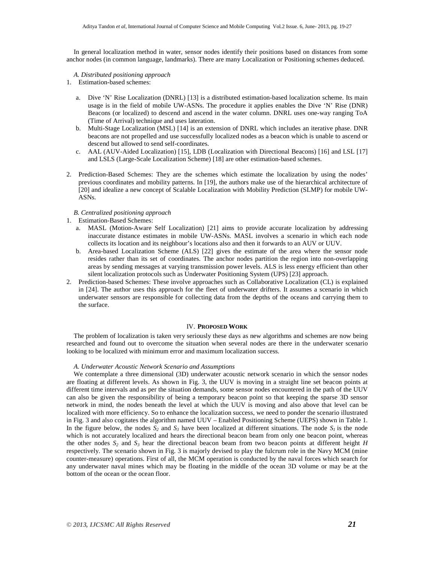In general localization method in water, sensor nodes identify their positions based on distances from some anchor nodes (in common language, landmarks). There are many Localization or Positioning schemes deduced.

#### *A. Distributed positioning approach*

- 1. Estimation-based schemes:
	- a. Dive 'N' Rise Localization (DNRL) [13] is a distributed estimation-based localization scheme. Its main usage is in the field of mobile UW-ASNs. The procedure it applies enables the Dive 'N' Rise (DNR) Beacons (or localized) to descend and ascend in the water column. DNRL uses one-way ranging ToA (Time of Arrival) technique and uses lateration.
	- b. Multi-Stage Localization (MSL) [14] is an extension of DNRL which includes an iterative phase. DNR beacons are not propelled and use successfully localized nodes as a beacon which is unable to ascend or descend but allowed to send self-coordinates.
	- c. AAL (AUV-Aided Localization) [15], LDB (Localization with Directional Beacons) [16] and LSL [17] and LSLS (Large-Scale Localization Scheme) [18] are other estimation-based schemes.
- 2. Prediction-Based Schemes: They are the schemes which estimate the localization by using the nodes' previous coordinates and mobility patterns. In [19], the authors make use of the hierarchical architecture of [20] and idealize a new concept of Scalable Localization with Mobility Prediction (SLMP) for mobile UW-ASNs.

#### *B. Centralized positioning approach*

1. Estimation-Based Schemes:

- a. MASL (Motion-Aware Self Localization) [21] aims to provide accurate localization by addressing inaccurate distance estimates in mobile UW-ASNs. MASL involves a scenario in which each node collects its location and its neighbour's locations also and then it forwards to an AUV or UUV.
- b. Area-based Localization Scheme (ALS) [22] gives the estimate of the area where the sensor node resides rather than its set of coordinates. The anchor nodes partition the region into non-overlapping areas by sending messages at varying transmission power levels. ALS is less energy efficient than other silent localization protocols such as Underwater Positioning System (UPS) [23] approach.
- 2. Prediction-based Schemes: These involve approaches such as Collaborative Localization (CL) is explained in [24]. The author uses this approach for the fleet of underwater drifters. It assumes a scenario in which underwater sensors are responsible for collecting data from the depths of the oceans and carrying them to the surface.

#### IV. **PROPOSED WORK**

The problem of localization is taken very seriously these days as new algorithms and schemes are now being researched and found out to overcome the situation when several nodes are there in the underwater scenario looking to be localized with minimum error and maximum localization success.

#### *A. Underwater Acoustic Network Scenario and Assumptions*

We contemplate a three dimensional (3D) underwater acoustic network scenario in which the sensor nodes are floating at different levels. As shown in Fig. 3, the UUV is moving in a straight line set beacon points at different time intervals and as per the situation demands, some sensor nodes encountered in the path of the UUV can also be given the responsibility of being a temporary beacon point so that keeping the sparse 3D sensor network in mind, the nodes beneath the level at which the UUV is moving and also above that level can be localized with more efficiency. So to enhance the localization success, we need to ponder the scenario illustrated in Fig. 3 and also cogitates the algorithm named UUV – Enabled Positioning Scheme (UEPS) shown in Table 1. In the figure below, the nodes  $S_2$  and  $S_3$  have been localized at different situations. The node  $S_1$  is the node which is not accurately localized and hears the directional beacon beam from only one beacon point, whereas the other nodes  $S_2$  and  $S_3$  hear the directional beacon beam from two beacon points at different height *H* respectively. The scenario shown in Fig. 3 is majorly devised to play the fulcrum role in the Navy MCM (mine counter-measure) operations. First of all, the MCM operation is conducted by the naval forces which search for any underwater naval mines which may be floating in the middle of the ocean 3D volume or may be at the bottom of the ocean or the ocean floor.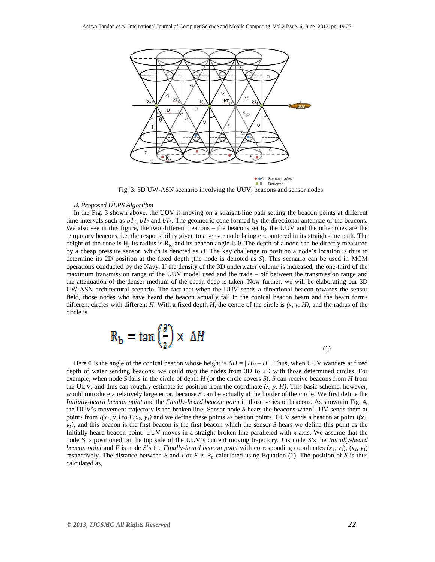

• • C - Sensor nodes  $\blacksquare$  - Beacons Fig. 3: 3D UW-ASN scenario involving the UUV, beacons and sensor nodes

#### *B. Proposed UEPS Algorithm*

In the Fig. 3 shown above, the UUV is moving on a straight-line path setting the beacon points at different time intervals such as  $bT_1$ ,  $bT_2$  and  $bT_3$ . The geometric cone formed by the directional antennae of the beacons. We also see in this figure, the two different beacons – the beacons set by the UUV and the other ones are the temporary beacons, i.e. the responsibility given to a sensor node being encountered in its straight-line path. The height of the cone is H, its radius is  $R<sub>b</sub>$ , and its beacon angle is θ. The depth of a node can be directly measured by a cheap pressure sensor, which is denoted as *H*. The key challenge to position a node's location is thus to determine its 2D position at the fixed depth (the node is denoted as *S*). This scenario can be used in MCM operations conducted by the Navy. If the density of the 3D underwater volume is increased, the one-third of the maximum transmission range of the UUV model used and the trade – off between the transmission range and the attenuation of the denser medium of the ocean deep is taken. Now further, we will be elaborating our 3D UW-ASN architectural scenario. The fact that when the UUV sends a directional beacon towards the sensor field, those nodes who have heard the beacon actually fall in the conical beacon beam and the beam forms different circles with different *H*. With a fixed depth *H*, the centre of the circle is *(x, y, H)*, and the radius of the circle is

$$
R_b = \tan\left(\frac{\theta}{2}\right) \times \Delta H
$$

(1)

Here  $\theta$  is the angle of the conical beacon whose height is  $\Delta H = |H_U - H|$ . Thus, when UUV wanders at fixed depth of water sending beacons, we could map the nodes from 3D to 2D with those determined circles. For example, when node *S* falls in the circle of depth *H* (or the circle covers *S*), *S* can receive beacons from *H* from the UUV, and thus can roughly estimate its position from the coordinate  $(x, y, H)$ . This basic scheme, however, would introduce a relatively large error, because *S* can be actually at the border of the circle. We first define the *Initially-heard beacon point* and the *Finally-heard beacon point* in those series of beacons. As shown in Fig. 4, the UUV's movement trajectory is the broken line. Sensor node *S* hears the beacons when UUV sends them at points from  $I(x_i, y_i)$  to  $F(x_i, y_i)$  and we define these points as beacon points. UUV sends a beacon at point  $I(x_i, y_i)$  $y_l$ , and this beacon is the first beacon is the first beacon which the sensor *S* hears we define this point as the Initially-heard beacon point. UUV moves in a straight broken line paralleled with *x*-axis. We assume that the node *S* is positioned on the top side of the UUV's current moving trajectory. *I* is node *S*'s the *Initially-heard beacon point* and *F* is node *S*'s the *Finally-heard beacon point* with corresponding coordinates  $(x_1, y_1), (x_2, y_1)$ respectively. The distance between *S* and *I* or *F* is  $R_b$  calculated using Equation (1). The position of *S* is thus calculated as,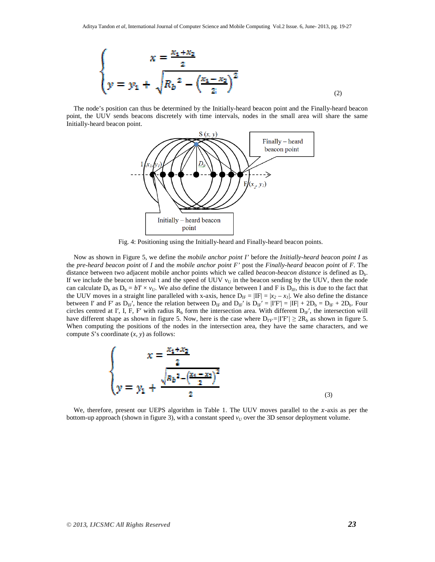$$
\begin{cases}\nx = \frac{x_1 + x_2}{2} \\
y = y_1 + \sqrt{R_b^2 - \left(\frac{x_1 - x_2}{2}\right)^2}\n\end{cases}
$$

The node's position can thus be determined by the Initially-heard beacon point and the Finally-heard beacon point, the UUV sends beacons discretely with time intervals, nodes in the small area will share the same Initially-heard beacon point.



Fig. 4: Positioning using the Initially-heard and Finally-heard beacon points.

Now as shown in Figure 5, we define the *mobile anchor point I'* before the *Initially-heard beacon point I* as the *pre-heard beacon point* of *I* and the *mobile anchor point F'* post the *Finally-heard beacon point* of *F*. The distance between two adjacent mobile anchor points which we called *beacon-beacon distance* is defined as D<sub>b</sub>. If we include the beacon interval t and the speed of UUV  $v_U$  in the beacon sending by the UUV, then the node can calculate  $D_b$  as  $D_b = bT \times v_U$ . We also define the distance between I and F is  $D_{IF}$ , this is due to the fact that the UUV moves in a straight line paralleled with x-axis, hence  $D_{IF} = |IF| = |x_2 - x_1|$ . We also define the distance between I' and F' as  $D_{IF}$ ', hence the relation between  $D_{IF}$  and  $D_{IF}$ ' is  $D_{IF}$ ' = |IF'| = |IF| + 2 $D_b = D_{IF} + 2D_b$ . Four circles centred at I', I, F, F' with radius  $R_b$  form the intersection area. With different  $D_{IF'}$ , the intersection will have different shape as shown in figure 5. Now, here is the case where  $D_{\text{IF}}=I\frac{T}{V'}\geq 2R_b$  as shown in figure 5. When computing the positions of the nodes in the intersection area, they have the same characters, and we compute *S*'s coordinate (*x, y*) as follows:

$$
\begin{cases}\nx = \frac{x_1 + x_2}{2} \\
y = y_1 + \frac{\sqrt{R_b^2 - (\frac{x_1 - x_2}{2})^2}}{2}\n\end{cases}
$$
\n(3)

We, therefore, present our UEPS algorithm in Table 1. The UUV moves parallel to the  $x$ -axis as per the bottom-up approach (shown in figure 3), with a constant speed  $v<sub>U</sub>$  over the 3D sensor deployment volume.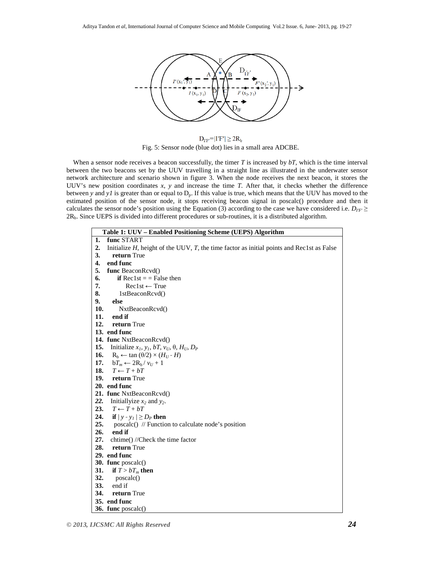

 $D_{IF'}=|I'F'|\geq 2R_b$ Fig. 5: Sensor node (blue dot) lies in a small area ADCBE.

 When a sensor node receives a beacon successfully, the timer *T* is increased by *bT*, which is the time interval between the two beacons set by the UUV travelling in a straight line as illustrated in the underwater sensor network architecture and scenario shown in figure 3. When the node receives the next beacon, it stores the UUV's new position coordinates *x*, *y* and increase the time *T*. After that, it checks whether the difference between *y* and *y1* is greater than or equal to  $D_p$ . If this value is true, which means that the UUV has moved to the estimated position of the sensor node, it stops receiving beacon signal in poscalc() procedure and then it calculates the sensor node's position using the Equation (3) according to the case we have considered i.e.  $D_{IF'} \geq$ 2Rb. Since UEPS is divided into different procedures or sub-routines, it is a distributed algorithm.

| Table 1: UUV - Enabled Positioning Scheme (UEPS) Algorithm |                                                                                                 |  |
|------------------------------------------------------------|-------------------------------------------------------------------------------------------------|--|
| 1.                                                         | func START                                                                                      |  |
| 2.                                                         | Initialize $H$ , height of the UUV, $T$ , the time factor as initial points and Rec1st as False |  |
| 3.                                                         | return True                                                                                     |  |
| 4.                                                         | end func                                                                                        |  |
| 5.                                                         | func BeaconRcvd()                                                                               |  |
| 6.                                                         | <b>if</b> Rec1st $=$ = False then                                                               |  |
| 7.                                                         | $Rec1st \leftarrow True$                                                                        |  |
| 8.                                                         | 1stBeaconRcvd()                                                                                 |  |
| 9.                                                         | else                                                                                            |  |
| 10.                                                        | NxtBeaconRcvd()                                                                                 |  |
| 11.                                                        | end if                                                                                          |  |
| 12.                                                        | return True                                                                                     |  |
|                                                            | 13. end func                                                                                    |  |
|                                                            | 14. func NxtBeaconRcvd()                                                                        |  |
| 15.                                                        | Initialize $x_I$ , $y_I$ , $bT$ , $v_U$ , $\theta$ , $H_U$ , $D_P$                              |  |
| 16.                                                        | $R_b \leftarrow \tan(\theta/2) \times (H_U - H)$                                                |  |
| 17.                                                        | $bT_m \leftarrow 2R_b/v_U + 1$                                                                  |  |
| 18.                                                        | $T \leftarrow T + bT$                                                                           |  |
| 19.                                                        | return True                                                                                     |  |
|                                                            | 20. end func                                                                                    |  |
|                                                            | 21. func NxtBeaconRcvd()                                                                        |  |
| 22.                                                        | Initiallyize $x_2$ and $y_2$ .                                                                  |  |
| 23.                                                        | $T \leftarrow T + bT$                                                                           |  |
| 24.                                                        | if $ y - y_l  \ge D_P$ then                                                                     |  |
| 25.                                                        | poscalc() // Function to calculate node's position                                              |  |
| 26.                                                        | end if                                                                                          |  |
| 27.                                                        | chtime() //Check the time factor                                                                |  |
| 28.                                                        | return True                                                                                     |  |
|                                                            | 29. end func                                                                                    |  |
|                                                            | 30. func $poscale()$                                                                            |  |
| 31.                                                        | if $T > bT_m$ then                                                                              |  |
| 32.                                                        | poscalc()                                                                                       |  |
| 33.                                                        | end if                                                                                          |  |
| 34.                                                        | return True                                                                                     |  |
|                                                            | 35. end func                                                                                    |  |
|                                                            | 36. func $poscale()$                                                                            |  |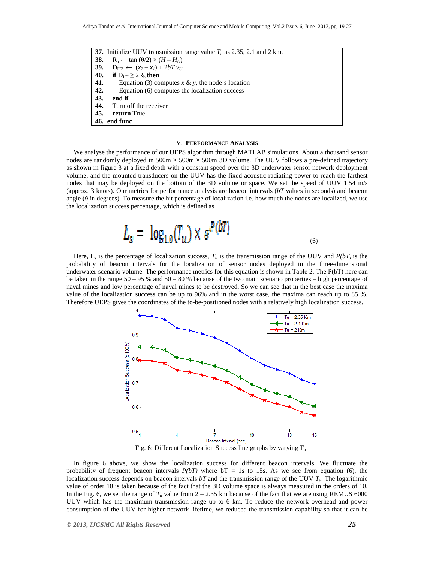**37.** Initialize UUV transmission range value  $T_u$  as 2.35, 2.1 and 2 km. **38. R**<sub>b</sub> ← tan  $(\theta/2) \times (H - H_U)$ <br>**39. D**<sub>IF'</sub> ←  $(x_2 - x_1) + 2bTv_U$  $D_{IF'} \leftarrow (x_2 - x_1) + 2bT v_U$ **40. if**  $D_{IF'} \geq 2R_b$  **then 41.** Equation (3) computes  $x \& y$ , the node's location **42.** Equation (6) computes the localization success **43. end if 44.** Turn off the receiver **45. return** True **46. end func**

## V. **PERFORMANCE ANALYSIS**

We analyse the performance of our UEPS algorithm through MATLAB simulations. About a thousand sensor nodes are randomly deployed in  $500m \times 500m \times 500m$  3D volume. The UUV follows a pre-defined trajectory as shown in figure 3 at a fixed depth with a constant speed over the 3D underwater sensor network deployment volume, and the mounted transducers on the UUV has the fixed acoustic radiating power to reach the farthest nodes that may be deployed on the bottom of the 3D volume or space. We set the speed of UUV 1.54 m/s (approx. 3 knots). Our metrics for performance analysis are beacon intervals (*bT* values in seconds) and beacon angle (*θ* in degrees). To measure the hit percentage of localization i.e. how much the nodes are localized, we use the localization success percentage, which is defined as

$$
L_s = \log_{10}(T_u) \times e^{P(bT)} \tag{6}
$$

Here,  $L_s$  is the percentage of localization success,  $T_u$  is the transmission range of the UUV and  $P(bT)$  is the probability of beacon intervals for the localization of sensor nodes deployed in the three-dimensional underwater scenario volume. The performance metrics for this equation is shown in Table 2. The P(bT) here can be taken in the range 50 – 95 % and 50 – 80 % because of the two main scenario properties – high percentage of naval mines and low percentage of naval mines to be destroyed. So we can see that in the best case the maxima value of the localization success can be up to 96% and in the worst case, the maxima can reach up to 85 %. Therefore UEPS gives the coordinates of the to-be-positioned nodes with a relatively high localization success.



Fig. 6: Different Localization Success line graphs by varying  $T_u$ 

In figure 6 above, we show the localization success for different beacon intervals. We fluctuate the probability of frequent beacon intervals  $P(bT)$  where  $bT = 1s$  to 15s. As we see from equation (6), the localization success depends on beacon intervals *bT* and the transmission range of the UUV *Tu*. The logarithmic value of order 10 is taken because of the fact that the 3D volume space is always measured in the orders of 10. In the Fig. 6, we set the range of  $T_u$  value from  $2 - 2.35$  km because of the fact that we are using REMUS 6000 UUV which has the maximum transmission range up to 6 km. To reduce the network overhead and power consumption of the UUV for higher network lifetime, we reduced the transmission capability so that it can be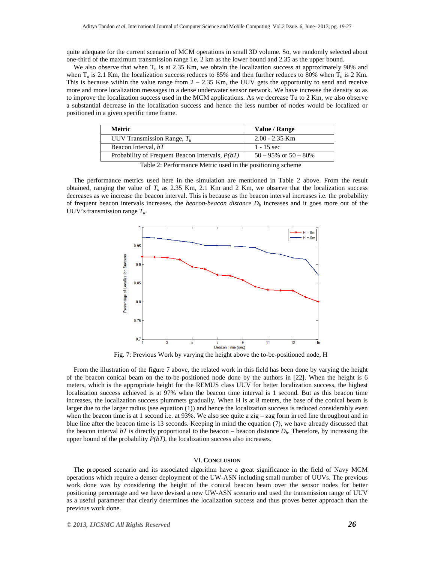quite adequate for the current scenario of MCM operations in small 3D volume. So, we randomly selected about one-third of the maximum transmission range i.e. 2 km as the lower bound and 2.35 as the upper bound.

We also observe that when  $T_u$  is at 2.35 Km, we obtain the localization success at approximately 98% and when  $T_u$  is 2.1 Km, the localization success reduces to 85% and then further reduces to 80% when  $T_u$  is 2 Km. This is because within the value range from  $2 - 2.35$  Km, the UUV gets the opportunity to send and receive more and more localization messages in a dense underwater sensor network. We have increase the density so as to improve the localization success used in the MCM applications. As we decrease Tu to 2 Km, we also observe a substantial decrease in the localization success and hence the less number of nodes would be localized or positioned in a given specific time frame.

| Metric                                            | Value / Range              |
|---------------------------------------------------|----------------------------|
| UUV Transmission Range, $T_u$                     | $2.00 - 2.35$ Km           |
| Beacon Interval, bT                               | $1 - 15 \text{ sec}$       |
| Probability of Frequent Beacon Intervals, $P(bT)$ | $50 - 95\%$ or $50 - 80\%$ |
|                                                   |                            |

Table 2: Performance Metric used in the positioning scheme

The performance metrics used here in the simulation are mentioned in Table 2 above. From the result obtained, ranging the value of  $T_u$  as 2.35 Km, 2.1 Km and 2 Km, we observe that the localization success decreases as we increase the beacon interval. This is because as the beacon interval increases i.e. the probability of frequent beacon intervals increases, the *beacon-beacon distance*  $D<sub>b</sub>$  increases and it goes more out of the UUV's transmission range *Tu*.



Fig. 7: Previous Work by varying the height above the to-be-positioned node, H

From the illustration of the figure 7 above, the related work in this field has been done by varying the height of the beacon conical beam on the to-be-positioned node done by the authors in [22]. When the height is 6 meters, which is the appropriate height for the REMUS class UUV for better localization success, the highest localization success achieved is at 97% when the beacon time interval is 1 second. But as this beacon time increases, the localization success plummets gradually. When H is at 8 meters, the base of the conical beam is larger due to the larger radius (see equation (1)) and hence the localization success is reduced considerably even when the beacon time is at 1 second i.e. at  $93\%$ . We also see quite a zig – zag form in red line throughout and in blue line after the beacon time is 13 seconds. Keeping in mind the equation (7), we have already discussed that the beacon interval  $bT$  is directly proportional to the beacon – beacon distance  $D_b$ . Therefore, by increasing the upper bound of the probability *P(bT)*, the localization success also increases.

#### VI. **CONCLUSION**

The proposed scenario and its associated algorithm have a great significance in the field of Navy MCM operations which require a denser deployment of the UW-ASN including small number of UUVs. The previous work done was by considering the height of the conical beacon beam over the sensor nodes for better positioning percentage and we have devised a new UW-ASN scenario and used the transmission range of UUV as a useful parameter that clearly determines the localization success and thus proves better approach than the previous work done.